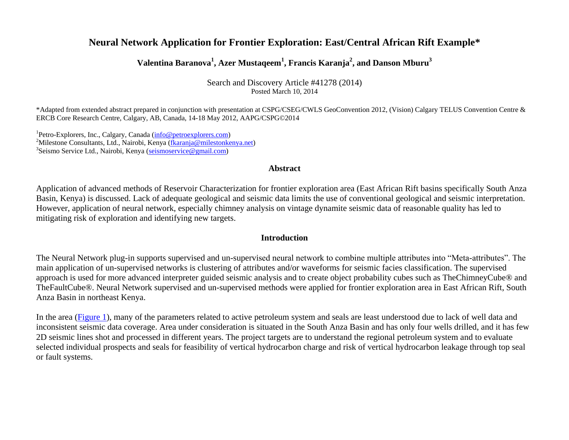# **Neural Network Application for Frontier Exploration: East/Central African Rift Example\***

# **Valentina Baranova<sup>1</sup> , Azer Mustaqeem<sup>1</sup> , Francis Karanja<sup>2</sup> , and Danson Mburu<sup>3</sup>**

Search and Discovery Article #41278 (2014) Posted March 10, 2014

\*Adapted from extended abstract prepared in conjunction with presentation at CSPG/CSEG/CWLS GeoConvention 2012, (Vision) Calgary TELUS Convention Centre & ERCB Core Research Centre, Calgary, AB, Canada, 14-18 May 2012, AAPG/CSPG©2014

<sup>1</sup>Petro-Explorers, Inc., Calgary, Canada [\(info@petroexplorers.com\)](mailto:info@petroexplorers.com) <sup>2</sup>Milestone Consultants, Ltd., Nairobi, Kenya [\(fkaranja@milestonkenya.net\)](mailto:fkaranja@milestonkenya.net) <sup>3</sup>Seismo Service Ltd., Nairobi, Kenya [\(seismoservice@gmail.com\)](mailto:seismoservice@gmail.com)

#### **Abstract**

Application of advanced methods of Reservoir Characterization for frontier exploration area (East African Rift basins specifically South Anza Basin, Kenya) is discussed. Lack of adequate geological and seismic data limits the use of conventional geological and seismic interpretation. However, application of neural network, especially chimney analysis on vintage dynamite seismic data of reasonable quality has led to mitigating risk of exploration and identifying new targets.

# **Introduction**

The Neural Network plug-in supports supervised and un-supervised neural network to combine multiple attributes into "Meta-attributes". The main application of un-supervised networks is clustering of attributes and/or waveforms for seismic facies classification. The supervised approach is used for more advanced interpreter guided seismic analysis and to create object probability cubes such as TheChimneyCube® and TheFaultCube®. Neural Network supervised and un-supervised methods were applied for frontier exploration area in East African Rift, South Anza Basin in northeast Kenya.

In the area [\(Figure 1\)](#page-3-0), many of the parameters related to active petroleum system and seals are least understood due to lack of well data and inconsistent seismic data coverage. Area under consideration is situated in the South Anza Basin and has only four wells drilled, and it has few 2D seismic lines shot and processed in different years. The project targets are to understand the regional petroleum system and to evaluate selected individual prospects and seals for feasibility of vertical hydrocarbon charge and risk of vertical hydrocarbon leakage through top seal or fault systems.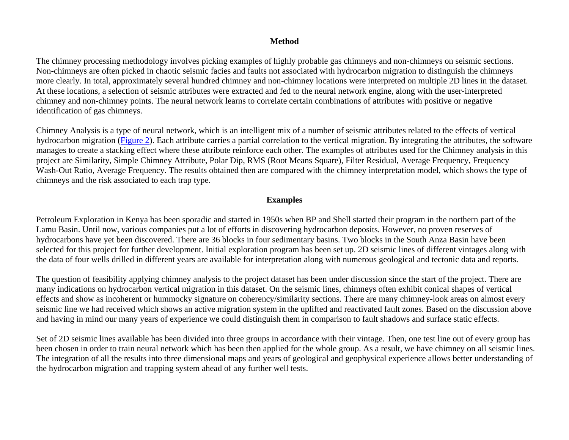## **Method**

The chimney processing methodology involves picking examples of highly probable gas chimneys and non-chimneys on seismic sections. Non-chimneys are often picked in chaotic seismic facies and faults not associated with hydrocarbon migration to distinguish the chimneys more clearly. In total, approximately several hundred chimney and non-chimney locations were interpreted on multiple 2D lines in the dataset. At these locations, a selection of seismic attributes were extracted and fed to the neural network engine, along with the user-interpreted chimney and non-chimney points. The neural network learns to correlate certain combinations of attributes with positive or negative identification of gas chimneys.

Chimney Analysis is a type of neural network, which is an intelligent mix of a number of seismic attributes related to the effects of vertical hydrocarbon migration [\(Figure 2\)](#page-4-0). Each attribute carries a partial correlation to the vertical migration. By integrating the attributes, the software manages to create a stacking effect where these attribute reinforce each other. The examples of attributes used for the Chimney analysis in this project are Similarity, Simple Chimney Attribute, Polar Dip, RMS (Root Means Square), Filter Residual, Average Frequency, Frequency Wash-Out Ratio, Average Frequency. The results obtained then are compared with the chimney interpretation model, which shows the type of chimneys and the risk associated to each trap type.

#### **Examples**

Petroleum Exploration in Kenya has been sporadic and started in 1950s when BP and Shell started their program in the northern part of the Lamu Basin. Until now, various companies put a lot of efforts in discovering hydrocarbon deposits. However, no proven reserves of hydrocarbons have yet been discovered. There are 36 blocks in four sedimentary basins. Two blocks in the South Anza Basin have been selected for this project for further development. Initial exploration program has been set up. 2D seismic lines of different vintages along with the data of four wells drilled in different years are available for interpretation along with numerous geological and tectonic data and reports.

The question of feasibility applying chimney analysis to the project dataset has been under discussion since the start of the project. There are many indications on hydrocarbon vertical migration in this dataset. On the seismic lines, chimneys often exhibit conical shapes of vertical effects and show as incoherent or hummocky signature on coherency/similarity sections. There are many chimney-look areas on almost every seismic line we had received which shows an active migration system in the uplifted and reactivated fault zones. Based on the discussion above and having in mind our many years of experience we could distinguish them in comparison to fault shadows and surface static effects.

Set of 2D seismic lines available has been divided into three groups in accordance with their vintage. Then, one test line out of every group has been chosen in order to train neural network which has been then applied for the whole group. As a result, we have chimney on all seismic lines. The integration of all the results into three dimensional maps and years of geological and geophysical experience allows better understanding of the hydrocarbon migration and trapping system ahead of any further well tests.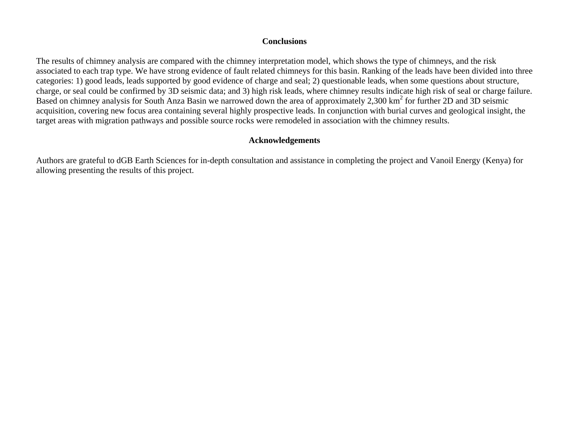#### **Conclusions**

The results of chimney analysis are compared with the chimney interpretation model, which shows the type of chimneys, and the risk associated to each trap type. We have strong evidence of fault related chimneys for this basin. Ranking of the leads have been divided into three categories: 1) good leads, leads supported by good evidence of charge and seal; 2) questionable leads, when some questions about structure, charge, or seal could be confirmed by 3D seismic data; and 3) high risk leads, where chimney results indicate high risk of seal or charge failure. Based on chimney analysis for South Anza Basin we narrowed down the area of approximately 2,300 km<sup>2</sup> for further 2D and 3D seismic acquisition, covering new focus area containing several highly prospective leads. In conjunction with burial curves and geological insight, the target areas with migration pathways and possible source rocks were remodeled in association with the chimney results.

# **Acknowledgements**

Authors are grateful to dGB Earth Sciences for in-depth consultation and assistance in completing the project and Vanoil Energy (Kenya) for allowing presenting the results of this project.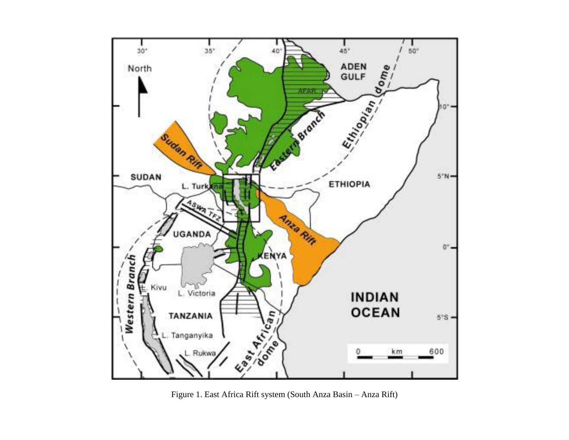<span id="page-3-0"></span>

Figure 1. East Africa Rift system (South Anza Basin - Anza Rift)